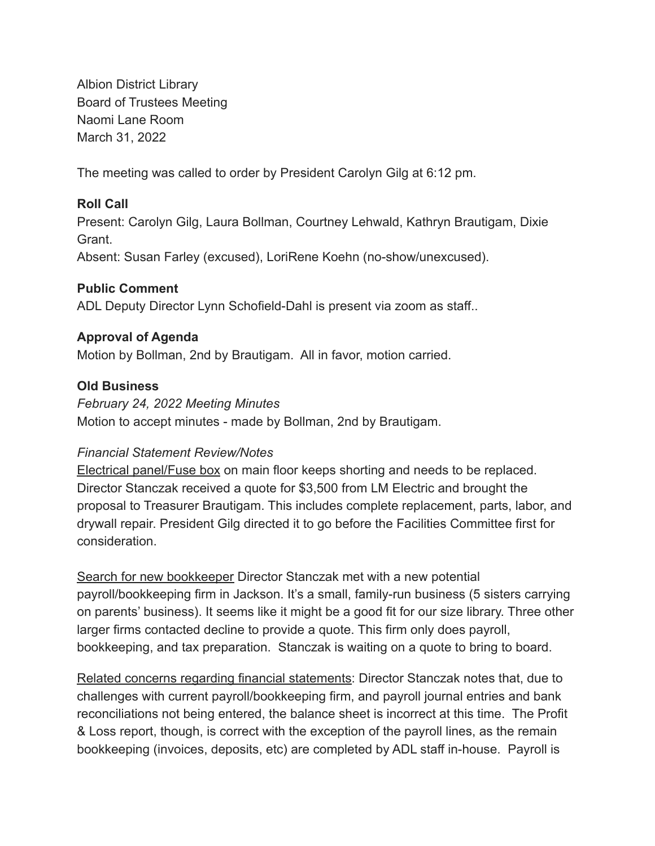Albion District Library Board of Trustees Meeting Naomi Lane Room March 31, 2022

The meeting was called to order by President Carolyn Gilg at 6:12 pm.

# **Roll Call**

Present: Carolyn Gilg, Laura Bollman, Courtney Lehwald, Kathryn Brautigam, Dixie Grant.

Absent: Susan Farley (excused), LoriRene Koehn (no-show/unexcused).

### **Public Comment**

ADL Deputy Director Lynn Schofield-Dahl is present via zoom as staff..

### **Approval of Agenda**

Motion by Bollman, 2nd by Brautigam. All in favor, motion carried.

### **Old Business**

### *February 24, 2022 Meeting Minutes*

Motion to accept minutes - made by Bollman, 2nd by Brautigam.

# *Financial Statement Review/Notes*

Electrical panel/Fuse box on main floor keeps shorting and needs to be replaced. Director Stanczak received a quote for \$3,500 from LM Electric and brought the proposal to Treasurer Brautigam. This includes complete replacement, parts, labor, and drywall repair. President Gilg directed it to go before the Facilities Committee first for consideration.

Search for new bookkeeper Director Stanczak met with a new potential payroll/bookkeeping firm in Jackson. It's a small, family-run business (5 sisters carrying on parents' business). It seems like it might be a good fit for our size library. Three other larger firms contacted decline to provide a quote. This firm only does payroll, bookkeeping, and tax preparation. Stanczak is waiting on a quote to bring to board.

Related concerns regarding financial statements: Director Stanczak notes that, due to challenges with current payroll/bookkeeping firm, and payroll journal entries and bank reconciliations not being entered, the balance sheet is incorrect at this time. The Profit & Loss report, though, is correct with the exception of the payroll lines, as the remain bookkeeping (invoices, deposits, etc) are completed by ADL staff in-house. Payroll is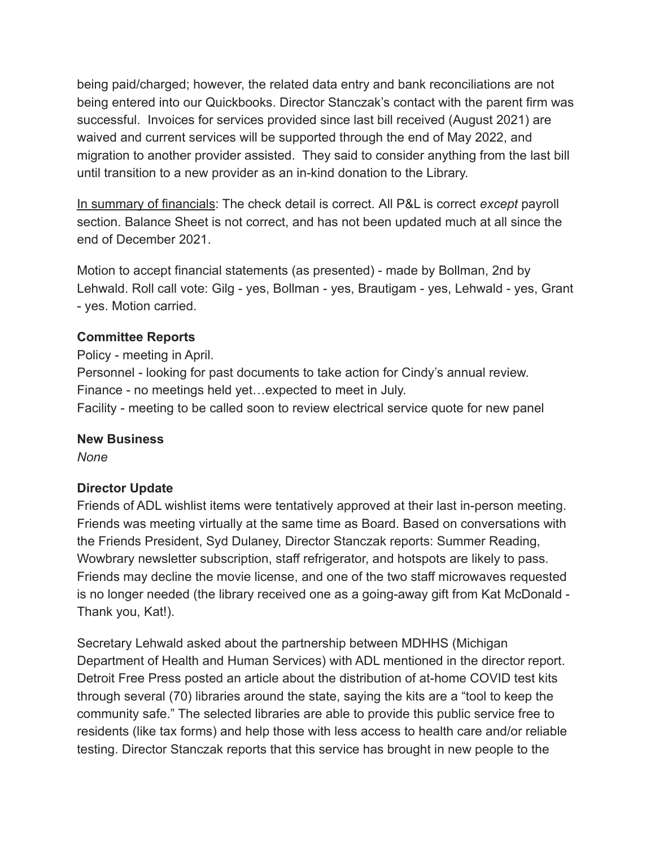being paid/charged; however, the related data entry and bank reconciliations are not being entered into our Quickbooks. Director Stanczak's contact with the parent firm was successful. Invoices for services provided since last bill received (August 2021) are waived and current services will be supported through the end of May 2022, and migration to another provider assisted. They said to consider anything from the last bill until transition to a new provider as an in-kind donation to the Library.

In summary of financials: The check detail is correct. All P&L is correct *except* payroll section. Balance Sheet is not correct, and has not been updated much at all since the end of December 2021.

Motion to accept financial statements (as presented) - made by Bollman, 2nd by Lehwald. Roll call vote: Gilg - yes, Bollman - yes, Brautigam - yes, Lehwald - yes, Grant - yes. Motion carried.

### **Committee Reports**

Policy - meeting in April. Personnel - looking for past documents to take action for Cindy's annual review. Finance - no meetings held yet…expected to meet in July. Facility - meeting to be called soon to review electrical service quote for new panel

# **New Business**

*None*

# **Director Update**

Friends of ADL wishlist items were tentatively approved at their last in-person meeting. Friends was meeting virtually at the same time as Board. Based on conversations with the Friends President, Syd Dulaney, Director Stanczak reports: Summer Reading, Wowbrary newsletter subscription, staff refrigerator, and hotspots are likely to pass. Friends may decline the movie license, and one of the two staff microwaves requested is no longer needed (the library received one as a going-away gift from Kat McDonald - Thank you, Kat!).

Secretary Lehwald asked about the partnership between MDHHS (Michigan Department of Health and Human Services) with ADL mentioned in the director report. Detroit Free Press posted an article about the distribution of at-home COVID test kits through several (70) libraries around the state, saying the kits are a "tool to keep the community safe." The selected libraries are able to provide this public service free to residents (like tax forms) and help those with less access to health care and/or reliable testing. Director Stanczak reports that this service has brought in new people to the